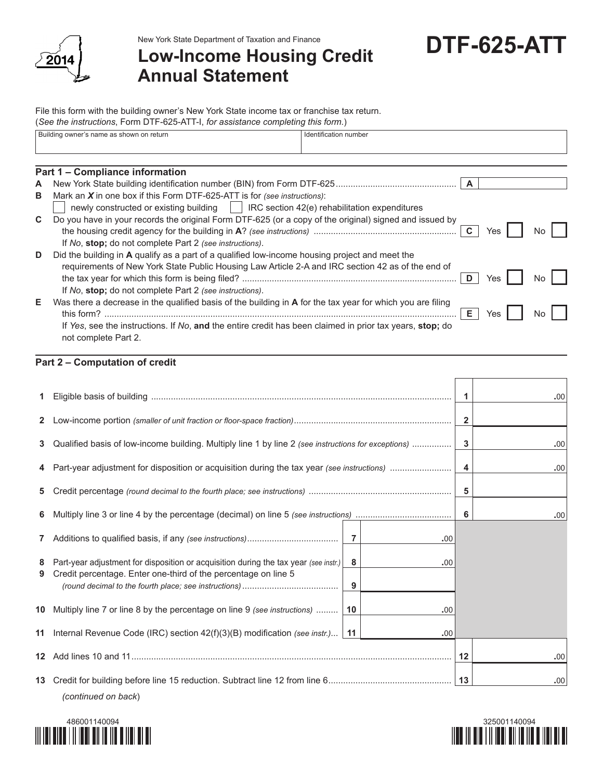

New York State Department of Taxation and Finance

## **Low-Income Housing Credit Annual Statement**

## **DTF-625-ATT**

File this form with the building owner's New York State income tax or franchise tax return. (*See the instructions*, Form DTF-625-ATT-I, *for assistance completing this form.*)

|    | Building owner's name as shown on return                                                                                 | Identification number |    |     |    |  |
|----|--------------------------------------------------------------------------------------------------------------------------|-----------------------|----|-----|----|--|
|    |                                                                                                                          |                       |    |     |    |  |
|    | Part 1 – Compliance information                                                                                          |                       |    |     |    |  |
| A  |                                                                                                                          |                       |    |     |    |  |
| B  | Mark an $X$ in one box if this Form DTF-625-ATT is for (see instructions):                                               |                       |    |     |    |  |
|    | newly constructed or existing building $\vert$ RC section 42(e) rehabilitation expenditures                              |                       |    |     |    |  |
| C. | Do you have in your records the original Form DTF-625 (or a copy of the original) signed and issued by                   |                       |    |     |    |  |
|    |                                                                                                                          |                       |    | Yes | N٥ |  |
|    | If No, stop; do not complete Part 2 (see instructions).                                                                  |                       |    |     |    |  |
| D  | Did the building in A qualify as a part of a qualified low-income housing project and meet the                           |                       |    |     |    |  |
|    | requirements of New York State Public Housing Law Article 2-A and IRC section 42 as of the end of                        |                       |    |     |    |  |
|    |                                                                                                                          |                       |    | res | No |  |
|    | If No, stop; do not complete Part 2 (see instructions).                                                                  |                       |    |     |    |  |
| Е  | Was there a decrease in the qualified basis of the building in A for the tax year for which you are filing<br>this form? |                       | Е. | Yes | N٥ |  |
|    | If Yes, see the instructions. If No, and the entire credit has been claimed in prior tax years, stop; do                 |                       |    |     |    |  |

| not complete Part 2. |  |
|----------------------|--|
|                      |  |

## **Part 2 – Computation of credit**

|              |                                                                                                                                                        |                |     | 1                       | .00 |
|--------------|--------------------------------------------------------------------------------------------------------------------------------------------------------|----------------|-----|-------------------------|-----|
| $\mathbf{2}$ |                                                                                                                                                        |                |     | $\overline{\mathbf{2}}$ |     |
| 3            | Qualified basis of low-income building. Multiply line 1 by line 2 (see instructions for exceptions)                                                    |                |     | 3                       | .00 |
|              |                                                                                                                                                        |                |     | 4                       | .00 |
| 5            |                                                                                                                                                        |                |     | 5                       |     |
| 6            |                                                                                                                                                        |                |     | 6                       | .00 |
| 7            |                                                                                                                                                        | $\overline{7}$ | .00 |                         |     |
| 8<br>9       | Part-year adjustment for disposition or acquisition during the tax year (see instr.)<br>Credit percentage. Enter one-third of the percentage on line 5 | 8<br>9         | .00 |                         |     |
|              | 10 Multiply line 7 or line 8 by the percentage on line 9 (see instructions)                                                                            | 10             | .00 |                         |     |
| 11           | Internal Revenue Code (IRC) section 42(f)(3)(B) modification (see instr.)                                                                              | 11             | .00 |                         |     |
|              |                                                                                                                                                        |                |     | 12                      | .00 |
|              | (continued on back)                                                                                                                                    |                |     | 13                      | .00 |